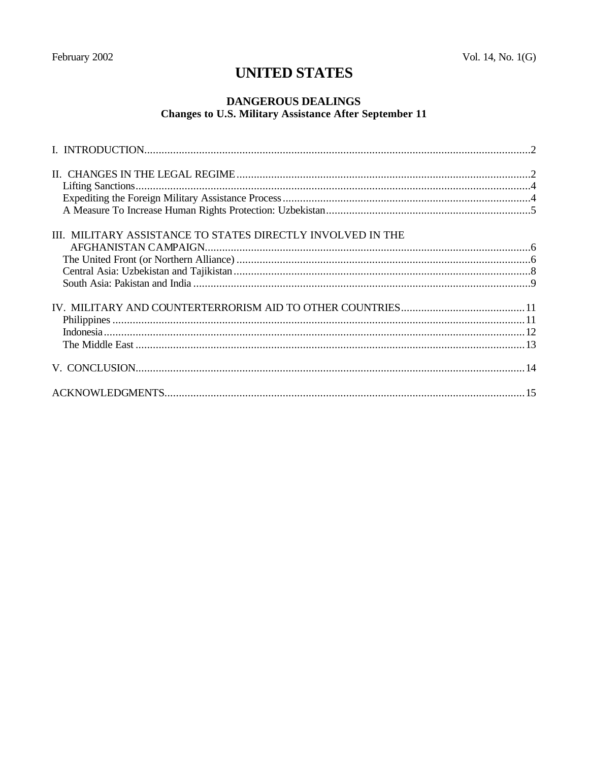# **UNITED STATES**

# **DANGEROUS DEALINGS Changes to U.S. Military Assistance After September 11**

| III. MILITARY ASSISTANCE TO STATES DIRECTLY INVOLVED IN THE |  |
|-------------------------------------------------------------|--|
|                                                             |  |
|                                                             |  |
|                                                             |  |
|                                                             |  |
|                                                             |  |
|                                                             |  |
|                                                             |  |
|                                                             |  |
|                                                             |  |
|                                                             |  |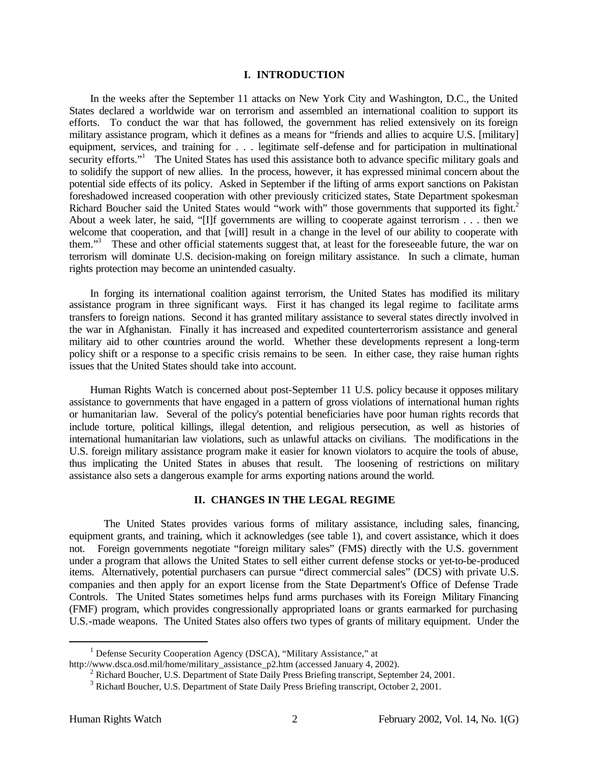### **I. INTRODUCTION**

In the weeks after the September 11 attacks on New York City and Washington, D.C., the United States declared a worldwide war on terrorism and assembled an international coalition to support its efforts. To conduct the war that has followed, the government has relied extensively on its foreign military assistance program, which it defines as a means for "friends and allies to acquire U.S. [military] equipment, services, and training for . . . legitimate self-defense and for participation in multinational security efforts."<sup>1</sup> The United States has used this assistance both to advance specific military goals and to solidify the support of new allies. In the process, however, it has expressed minimal concern about the potential side effects of its policy. Asked in September if the lifting of arms export sanctions on Pakistan foreshadowed increased cooperation with other previously criticized states, State Department spokesman Richard Boucher said the United States would "work with" those governments that supported its fight.<sup>2</sup> About a week later, he said, "[I]f governments are willing to cooperate against terrorism . . . then we welcome that cooperation, and that [will] result in a change in the level of our ability to cooperate with them."<sup>3</sup> These and other official statements suggest that, at least for the foreseeable future, the war on terrorism will dominate U.S. decision-making on foreign military assistance. In such a climate, human rights protection may become an unintended casualty.

In forging its international coalition against terrorism, the United States has modified its military assistance program in three significant ways. First it has changed its legal regime to facilitate arms transfers to foreign nations. Second it has granted military assistance to several states directly involved in the war in Afghanistan. Finally it has increased and expedited counterterrorism assistance and general military aid to other countries around the world. Whether these developments represent a long-term policy shift or a response to a specific crisis remains to be seen. In either case, they raise human rights issues that the United States should take into account.

Human Rights Watch is concerned about post-September 11 U.S. policy because it opposes military assistance to governments that have engaged in a pattern of gross violations of international human rights or humanitarian law. Several of the policy's potential beneficiaries have poor human rights records that include torture, political killings, illegal detention, and religious persecution, as well as histories of international humanitarian law violations, such as unlawful attacks on civilians. The modifications in the U.S. foreign military assistance program make it easier for known violators to acquire the tools of abuse, thus implicating the United States in abuses that result. The loosening of restrictions on military assistance also sets a dangerous example for arms exporting nations around the world.

#### **II. CHANGES IN THE LEGAL REGIME**

The United States provides various forms of military assistance, including sales, financing, equipment grants, and training, which it acknowledges (see table 1), and covert assistance, which it does not. Foreign governments negotiate "foreign military sales" (FMS) directly with the U.S. government under a program that allows the United States to sell either current defense stocks or yet-to-be-produced items. Alternatively, potential purchasers can pursue "direct commercial sales" (DCS) with private U.S. companies and then apply for an export license from the State Department's Office of Defense Trade Controls. The United States sometimes helps fund arms purchases with its Foreign Military Financing (FMF) program, which provides congressionally appropriated loans or grants earmarked for purchasing U.S.-made weapons. The United States also offers two types of grants of military equipment. Under the

 $\overline{\phantom{a}}$ 

<sup>&</sup>lt;sup>1</sup> Defense Security Cooperation Agency (DSCA), "Military Assistance," at

http://www.dsca.osd.mil/home/military\_assistance\_p2.htm (accessed January 4, 2002).

<sup>&</sup>lt;sup>2</sup> Richard Boucher, U.S. Department of State Daily Press Briefing transcript, September 24, 2001.

<sup>&</sup>lt;sup>3</sup> Richard Boucher, U.S. Department of State Daily Press Briefing transcript, October 2, 2001.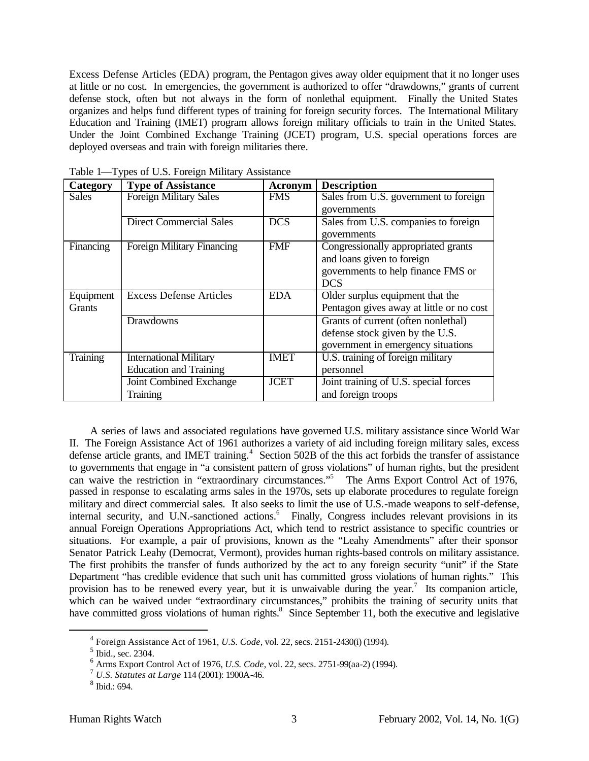Excess Defense Articles (EDA) program, the Pentagon gives away older equipment that it no longer uses at little or no cost. In emergencies, the government is authorized to offer "drawdowns," grants of current defense stock, often but not always in the form of nonlethal equipment. Finally the United States organizes and helps fund different types of training for foreign security forces. The International Military Education and Training (IMET) program allows foreign military officials to train in the United States. Under the Joint Combined Exchange Training (JCET) program, U.S. special operations forces are deployed overseas and train with foreign militaries there.

| Category  | <b>Type of Assistance</b>         | Acronym     | <b>Description</b>                       |
|-----------|-----------------------------------|-------------|------------------------------------------|
| Sales     | <b>Foreign Military Sales</b>     | <b>FMS</b>  | Sales from U.S. government to foreign    |
|           |                                   |             | governments                              |
|           | <b>Direct Commercial Sales</b>    | <b>DCS</b>  | Sales from U.S. companies to foreign     |
|           |                                   |             | governments                              |
| Financing | <b>Foreign Military Financing</b> | <b>FMF</b>  | Congressionally appropriated grants      |
|           |                                   |             | and loans given to foreign               |
|           |                                   |             | governments to help finance FMS or       |
|           |                                   |             | <b>DCS</b>                               |
| Equipment | <b>Excess Defense Articles</b>    | <b>EDA</b>  | Older surplus equipment that the         |
| Grants    |                                   |             | Pentagon gives away at little or no cost |
|           | Drawdowns                         |             | Grants of current (often nonlethal)      |
|           |                                   |             | defense stock given by the U.S.          |
|           |                                   |             | government in emergency situations       |
| Training  | <b>International Military</b>     | <b>IMET</b> | U.S. training of foreign military        |
|           | <b>Education and Training</b>     |             | personnel                                |
|           | Joint Combined Exchange           | <b>JCET</b> | Joint training of U.S. special forces    |
|           | <b>Training</b>                   |             | and foreign troops                       |

Table 1—Types of U.S. Foreign Military Assistance

A series of laws and associated regulations have governed U.S. military assistance since World War II. The Foreign Assistance Act of 1961 authorizes a variety of aid including foreign military sales, excess defense article grants, and IMET training.<sup>4</sup> Section 502B of the this act forbids the transfer of assistance to governments that engage in "a consistent pattern of gross violations" of human rights, but the president can waive the restriction in "extraordinary circumstances."<sup>5</sup> The Arms Export Control Act of 1976, passed in response to escalating arms sales in the 1970s, sets up elaborate procedures to regulate foreign military and direct commercial sales. It also seeks to limit the use of U.S.-made weapons to self-defense, internal security, and U.N.-sanctioned actions.<sup>6</sup> Finally, Congress includes relevant provisions in its annual Foreign Operations Appropriations Act, which tend to restrict assistance to specific countries or situations. For example, a pair of provisions, known as the "Leahy Amendments" after their sponsor Senator Patrick Leahy (Democrat, Vermont), provides human rights-based controls on military assistance. The first prohibits the transfer of funds authorized by the act to any foreign security "unit" if the State Department "has credible evidence that such unit has committed gross violations of human rights." This provision has to be renewed every year, but it is unwaivable during the year.<sup>7</sup> Its companion article, which can be waived under "extraordinary circumstances," prohibits the training of security units that have committed gross violations of human rights.<sup>8</sup> Since September 11, both the executive and legislative

<sup>4</sup> Foreign Assistance Act of 1961, *U.S. Code*, vol. 22, secs. 2151-2430(i) (1994).

<sup>&</sup>lt;sup>5</sup> Ibid., sec. 2304.

<sup>6</sup> Arms Export Control Act of 1976, *U.S. Code*, vol. 22, secs. 2751-99(aa-2) (1994).

<sup>7</sup> *U.S. Statutes at Large* 114 (2001): 1900A-46.

<sup>8</sup> Ibid.: 694.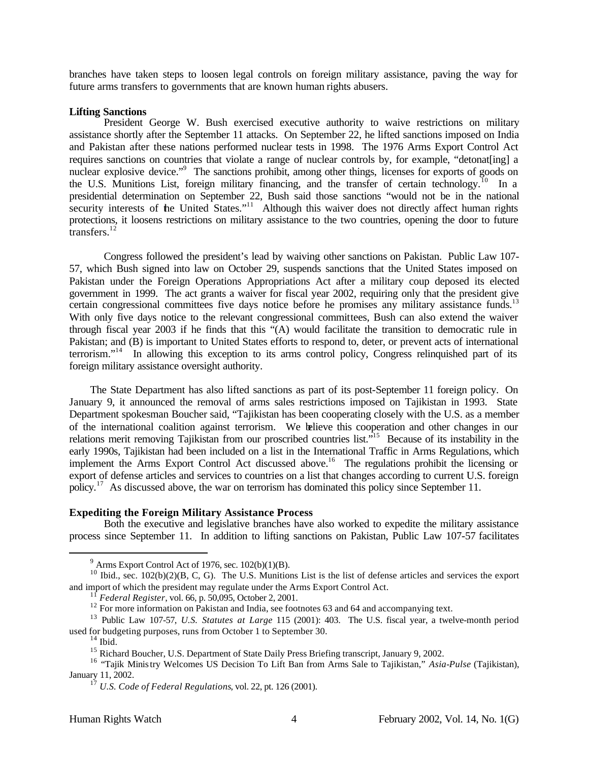branches have taken steps to loosen legal controls on foreign military assistance, paving the way for future arms transfers to governments that are known human rights abusers.

#### **Lifting Sanctions**

President George W. Bush exercised executive authority to waive restrictions on military assistance shortly after the September 11 attacks. On September 22, he lifted sanctions imposed on India and Pakistan after these nations performed nuclear tests in 1998. The 1976 Arms Export Control Act requires sanctions on countries that violate a range of nuclear controls by, for example, "detonat[ing] a nuclear explosive device."<sup>9</sup> The sanctions prohibit, among other things, licenses for exports of goods on the U.S. Munitions List, foreign military financing, and the transfer of certain technology.<sup>10</sup> In a presidential determination on September 22, Bush said those sanctions "would not be in the national security interests of the United States."<sup>11</sup> Although this waiver does not directly affect human rights protections, it loosens restrictions on military assistance to the two countries, opening the door to future transfers.<sup>12</sup>

Congress followed the president's lead by waiving other sanctions on Pakistan. Public Law 107- 57, which Bush signed into law on October 29, suspends sanctions that the United States imposed on Pakistan under the Foreign Operations Appropriations Act after a military coup deposed its elected government in 1999. The act grants a waiver for fiscal year 2002, requiring only that the president give certain congressional committees five days notice before he promises any military assistance funds.<sup>13</sup> With only five days notice to the relevant congressional committees, Bush can also extend the waiver through fiscal year 2003 if he finds that this "(A) would facilitate the transition to democratic rule in Pakistan; and (B) is important to United States efforts to respond to, deter, or prevent acts of international terrorism."<sup>14</sup> In allowing this exception to its arms control policy, Congress relinquished part of its foreign military assistance oversight authority.

The State Department has also lifted sanctions as part of its post-September 11 foreign policy. On January 9, it announced the removal of arms sales restrictions imposed on Tajikistan in 1993. State Department spokesman Boucher said, "Tajikistan has been cooperating closely with the U.S. as a member of the international coalition against terrorism. We believe this cooperation and other changes in our relations merit removing Tajikistan from our proscribed countries list.<sup>515</sup> Because of its instability in the early 1990s, Tajikistan had been included on a list in the International Traffic in Arms Regulations, which implement the Arms Export Control Act discussed above.<sup>16</sup> The regulations prohibit the licensing or export of defense articles and services to countries on a list that changes according to current U.S. foreign policy.<sup>17</sup> As discussed above, the war on terrorism has dominated this policy since September 11.

#### **Expediting the Foreign Military Assistance Process**

Both the executive and legislative branches have also worked to expedite the military assistance process since September 11. In addition to lifting sanctions on Pakistan, Public Law 107-57 facilitates

 $9$  Arms Export Control Act of 1976, sec.  $102(b)(1)(B)$ .

<sup>&</sup>lt;sup>10</sup> Ibid., sec.  $102(b)(2)(B, C, G)$ . The U.S. Munitions List is the list of defense articles and services the export and import of which the president may regulate under the Arms Export Control Act.

<sup>11</sup> *Federal Register*, vol. 66, p. 50,095, October 2, 2001.

<sup>&</sup>lt;sup>12</sup> For more information on Pakistan and India, see footnotes 63 and 64 and accompanying text.

<sup>13</sup> Public Law 107-57, *U.S. Statutes at Large* 115 (2001): 403. The U.S. fiscal year, a twelve-month period used for budgeting purposes, runs from October 1 to September 30.

 $14$  Ibid.

<sup>&</sup>lt;sup>15</sup> Richard Boucher, U.S. Department of State Daily Press Briefing transcript, January 9, 2002.

<sup>16</sup> "Tajik Ministry Welcomes US Decision To Lift Ban from Arms Sale to Tajikistan," *Asia-Pulse* (Tajikistan), January 11, 2002.

<sup>17</sup> *U.S. Code of Federal Regulations*, vol. 22, pt. 126 (2001).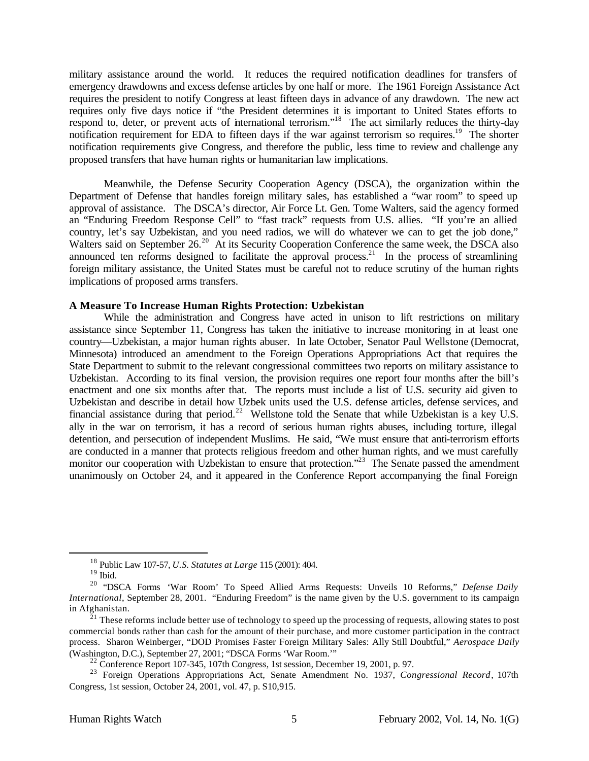military assistance around the world. It reduces the required notification deadlines for transfers of emergency drawdowns and excess defense articles by one half or more. The 1961 Foreign Assistance Act requires the president to notify Congress at least fifteen days in advance of any drawdown. The new act requires only five days notice if "the President determines it is important to United States efforts to respond to, deter, or prevent acts of international terrorism."<sup>18</sup> The act similarly reduces the thirty-day notification requirement for EDA to fifteen days if the war against terrorism so requires.<sup>19</sup> The shorter notification requirements give Congress, and therefore the public, less time to review and challenge any proposed transfers that have human rights or humanitarian law implications.

Meanwhile, the Defense Security Cooperation Agency (DSCA), the organization within the Department of Defense that handles foreign military sales, has established a "war room" to speed up approval of assistance. The DSCA's director, Air Force Lt. Gen. Tome Walters, said the agency formed an "Enduring Freedom Response Cell" to "fast track" requests from U.S. allies. "If you're an allied country, let's say Uzbekistan, and you need radios, we will do whatever we can to get the job done," Walters said on September 26.<sup>20</sup> At its Security Cooperation Conference the same week, the DSCA also announced ten reforms designed to facilitate the approval process.<sup>21</sup> In the process of streamlining foreign military assistance, the United States must be careful not to reduce scrutiny of the human rights implications of proposed arms transfers.

#### **A Measure To Increase Human Rights Protection: Uzbekistan**

While the administration and Congress have acted in unison to lift restrictions on military assistance since September 11, Congress has taken the initiative to increase monitoring in at least one country—Uzbekistan, a major human rights abuser. In late October, Senator Paul Wellstone (Democrat, Minnesota) introduced an amendment to the Foreign Operations Appropriations Act that requires the State Department to submit to the relevant congressional committees two reports on military assistance to Uzbekistan. According to its final version, the provision requires one report four months after the bill's enactment and one six months after that. The reports must include a list of U.S. security aid given to Uzbekistan and describe in detail how Uzbek units used the U.S. defense articles, defense services, and financial assistance during that period.<sup>22</sup> Wellstone told the Senate that while Uzbekistan is a key U.S. ally in the war on terrorism, it has a record of serious human rights abuses, including torture, illegal detention, and persecution of independent Muslims. He said, "We must ensure that anti-terrorism efforts are conducted in a manner that protects religious freedom and other human rights, and we must carefully monitor our cooperation with Uzbekistan to ensure that protection."<sup>23</sup> The Senate passed the amendment unanimously on October 24, and it appeared in the Conference Report accompanying the final Foreign

<sup>18</sup> Public Law 107-57, *U.S. Statutes at Large* 115 (2001): 404.

 $19$  Ibid.

<sup>20</sup> "DSCA Forms 'War Room' To Speed Allied Arms Requests: Unveils 10 Reforms," *Defense Daily International*, September 28, 2001. "Enduring Freedom" is the name given by the U.S. government to its campaign in Afghanistan.

 $\frac{21}{21}$  These reforms include better use of technology to speed up the processing of requests, allowing states to post commercial bonds rather than cash for the amount of their purchase, and more customer participation in the contract process. Sharon Weinberger, "DOD Promises Faster Foreign Military Sales: Ally Still Doubtful," *Aerospace Daily* (Washington, D.C.), September 27, 2001; "DSCA Forms 'War Room.'"

 $^{22}$  Conference Report 107-345, 107th Congress, 1st session, December 19, 2001, p. 97.

<sup>23</sup> Foreign Operations Appropriations Act, Senate Amendment No. 1937, *Congressional Record*, 107th Congress, 1st session, October 24, 2001, vol. 47, p. S10,915.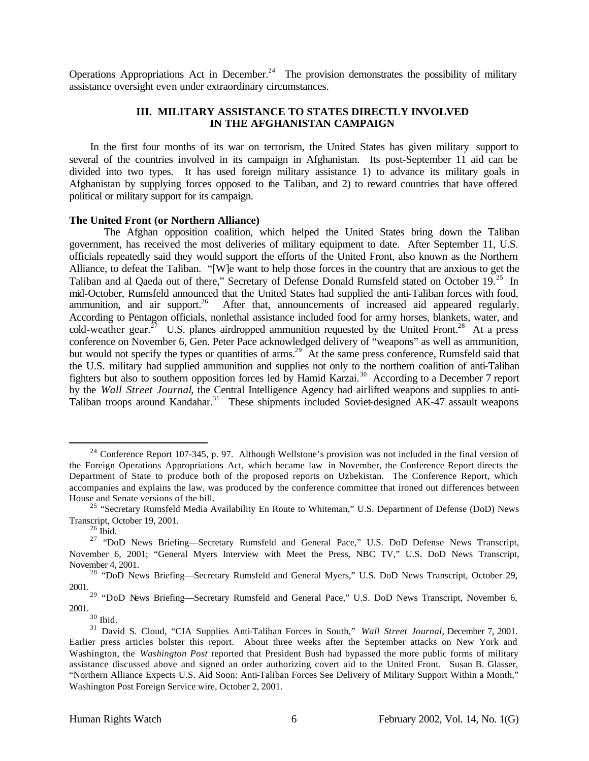Operations Appropriations Act in December.<sup>24</sup> The provision demonstrates the possibility of military assistance oversight even under extraordinary circumstances.

## **III. MILITARY ASSISTANCE TO STATES DIRECTLY INVOLVED IN THE AFGHANISTAN CAMPAIGN**

In the first four months of its war on terrorism, the United States has given military support to several of the countries involved in its campaign in Afghanistan. Its post-September 11 aid can be divided into two types. It has used foreign military assistance 1) to advance its military goals in Afghanistan by supplying forces opposed to the Taliban, and 2) to reward countries that have offered political or military support for its campaign.

#### **The United Front (or Northern Alliance)**

The Afghan opposition coalition, which helped the United States bring down the Taliban government, has received the most deliveries of military equipment to date. After September 11, U.S. officials repeatedly said they would support the efforts of the United Front, also known as the Northern Alliance, to defeat the Taliban. "[W]e want to help those forces in the country that are anxious to get the Taliban and al Qaeda out of there," Secretary of Defense Donald Rumsfeld stated on October 19.<sup>25</sup> In mid-October, Rumsfeld announced that the United States had supplied the anti-Taliban forces with food, ammunition, and air support.<sup>26</sup> After that, announcements of increased aid appeared regularly. According to Pentagon officials, nonlethal assistance included food for army horses, blankets, water, and cold-weather gear.<sup>27</sup> U.S. planes airdropped ammunition requested by the United Front.<sup>28</sup> At a press conference on November 6, Gen. Peter Pace acknowledged delivery of "weapons" as well as ammunition, but would not specify the types or quantities of arms.<sup>29</sup> At the same press conference, Rumsfeld said that the U.S. military had supplied ammunition and supplies not only to the northern coalition of anti-Taliban fighters but also to southern opposition forces led by Hamid Karzai.<sup>30</sup> According to a December 7 report by the *Wall Street Journal*, the Central Intelligence Agency had airlifted weapons and supplies to anti-Taliban troops around Kandahar.<sup>31</sup> These shipments included Soviet-designed AK-47 assault weapons

l

 $30$  Ibid.

 $^{24}$  Conference Report 107-345, p. 97. Although Wellstone's provision was not included in the final version of the Foreign Operations Appropriations Act, which became law in November, the Conference Report directs the Department of State to produce both of the proposed reports on Uzbekistan. The Conference Report, which accompanies and explains the law, was produced by the conference committee that ironed out differences between House and Senate versions of the bill.

<sup>&</sup>lt;sup>25</sup> "Secretary Rumsfeld Media Availability En Route to Whiteman," U.S. Department of Defense (DoD) News Transcript, October 19, 2001.

 $26$  Ibid.

<sup>&</sup>lt;sup>27</sup> "DoD News Briefing—Secretary Rumsfeld and General Pace," U.S. DoD Defense News Transcript, November 6, 2001; "General Myers Interview with Meet the Press, NBC TV," U.S. DoD News Transcript, November 4, 2001.

<sup>&</sup>lt;sup>28</sup> "DoD News Briefing—Secretary Rumsfeld and General Myers," U.S. DoD News Transcript, October 29, 2001.

<sup>&</sup>lt;sup>29</sup> "DoD News Briefing—Secretary Rumsfeld and General Pace," U.S. DoD News Transcript, November 6, 2001.

<sup>31</sup> David S. Cloud, "CIA Supplies Anti-Taliban Forces in South," *Wall Street Journal*, December 7, 2001. Earlier press articles bolster this report. About three weeks after the September attacks on New York and Washington, the *Washington Post* reported that President Bush had bypassed the more public forms of military assistance discussed above and signed an order authorizing covert aid to the United Front. Susan B. Glasser, "Northern Alliance Expects U.S. Aid Soon: Anti-Taliban Forces See Delivery of Military Support Within a Month," Washington Post Foreign Service wire, October 2, 2001.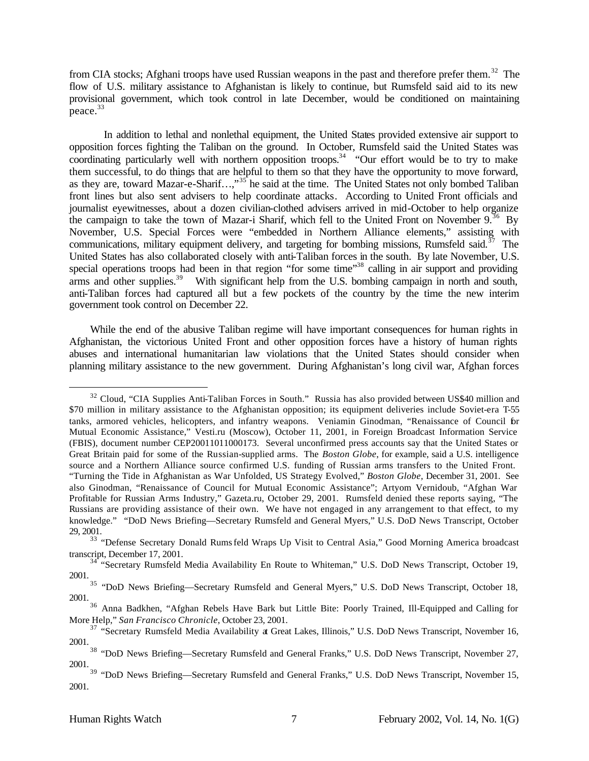from CIA stocks; Afghani troops have used Russian weapons in the past and therefore prefer them.<sup>32</sup> The flow of U.S. military assistance to Afghanistan is likely to continue, but Rumsfeld said aid to its new provisional government, which took control in late December, would be conditioned on maintaining peace.<sup>33</sup>

In addition to lethal and nonlethal equipment, the United States provided extensive air support to opposition forces fighting the Taliban on the ground. In October, Rumsfeld said the United States was coordinating particularly well with northern opposition troops.<sup>34</sup> "Our effort would be to try to make them successful, to do things that are helpful to them so that they have the opportunity to move forward, as they are, toward Mazar-e-Sharif…,"<sup>35</sup> he said at the time. The United States not only bombed Taliban front lines but also sent advisers to help coordinate attacks. According to United Front officials and journalist eyewitnesses, about a dozen civilian-clothed advisers arrived in mid-October to help organize the campaign to take the town of Mazar-i Sharif, which fell to the United Front on November  $9^{36}$  By November, U.S. Special Forces were "embedded in Northern Alliance elements," assisting with communications, military equipment delivery, and targeting for bombing missions, Rumsfeld said.<sup>37</sup> The United States has also collaborated closely with anti-Taliban forces in the south. By late November, U.S. special operations troops had been in that region "for some time"<sup>38</sup> calling in air support and providing arms and other supplies.<sup>39</sup> With significant help from the U.S. bombing campaign in north and south, anti-Taliban forces had captured all but a few pockets of the country by the time the new interim government took control on December 22.

While the end of the abusive Taliban regime will have important consequences for human rights in Afghanistan, the victorious United Front and other opposition forces have a history of human rights abuses and international humanitarian law violations that the United States should consider when planning military assistance to the new government. During Afghanistan's long civil war, Afghan forces

 $32$  Cloud, "CIA Supplies Anti-Taliban Forces in South." Russia has also provided between US\$40 million and \$70 million in military assistance to the Afghanistan opposition; its equipment deliveries include Soviet-era T-55 tanks, armored vehicles, helicopters, and infantry weapons. Veniamin Ginodman, "Renaissance of Council for Mutual Economic Assistance," Vesti.ru (Moscow), October 11, 2001, in Foreign Broadcast Information Service (FBIS), document number CEP20011011000173. Several unconfirmed press accounts say that the United States or Great Britain paid for some of the Russian-supplied arms. The *Boston Globe*, for example, said a U.S. intelligence source and a Northern Alliance source confirmed U.S. funding of Russian arms transfers to the United Front. "Turning the Tide in Afghanistan as War Unfolded, US Strategy Evolved," *Boston Globe,* December 31, 2001. See also Ginodman, "Renaissance of Council for Mutual Economic Assistance"; Artyom Vernidoub, "Afghan War Profitable for Russian Arms Industry," Gazeta.ru, October 29, 2001. Rumsfeld denied these reports saying, "The Russians are providing assistance of their own. We have not engaged in any arrangement to that effect, to my knowledge." "DoD News Briefing—Secretary Rumsfeld and General Myers," U.S. DoD News Transcript, October 29, 2001.

<sup>&</sup>lt;sup>33</sup> "Defense Secretary Donald Rumsfeld Wraps Up Visit to Central Asia," Good Morning America broadcast transcript, December 17, 2001.

<sup>&</sup>lt;sup>34</sup> "Secretary Rumsfeld Media Availability En Route to Whiteman," U.S. DoD News Transcript, October 19, 2001.

<sup>&</sup>lt;sup>35</sup> "DoD News Briefing—Secretary Rumsfeld and General Myers," U.S. DoD News Transcript, October 18, 2001.

<sup>&</sup>lt;sup>36</sup> Anna Badkhen, "Afghan Rebels Have Bark but Little Bite: Poorly Trained, Ill-Equipped and Calling for More Help," *San Francisco Chronicle*, October 23, 2001.

<sup>&</sup>lt;sup>37</sup> "Secretary Rumsfeld Media Availability at Great Lakes, Illinois," U.S. DoD News Transcript, November 16, 2001.

<sup>&</sup>lt;sup>38</sup> "DoD News Briefing—Secretary Rumsfeld and General Franks," U.S. DoD News Transcript, November 27, 2001.

<sup>&</sup>lt;sup>39</sup> "DoD News Briefing—Secretary Rumsfeld and General Franks," U.S. DoD News Transcript, November 15, 2001.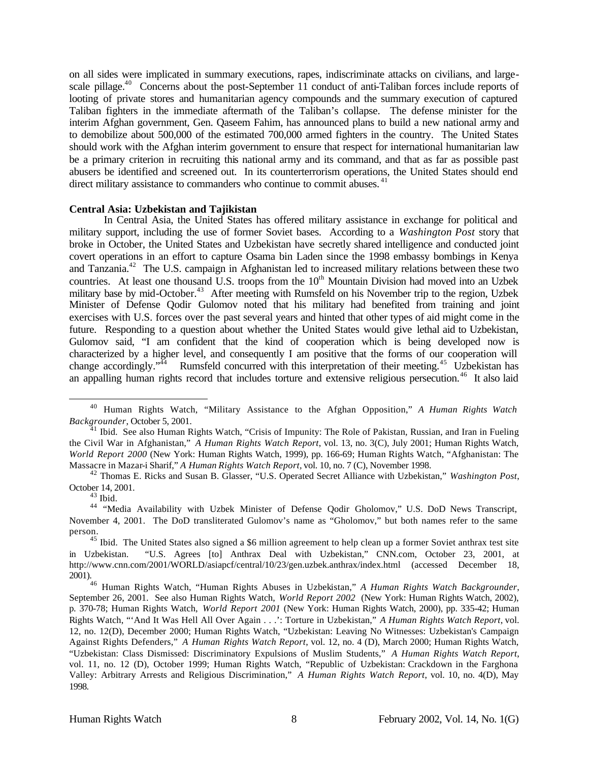on all sides were implicated in summary executions, rapes, indiscriminate attacks on civilians, and largescale pillage.<sup>40</sup> Concerns about the post-September 11 conduct of anti-Taliban forces include reports of looting of private stores and humanitarian agency compounds and the summary execution of captured Taliban fighters in the immediate aftermath of the Taliban's collapse. The defense minister for the interim Afghan government, Gen. Qaseem Fahim, has announced plans to build a new national army and to demobilize about 500,000 of the estimated 700,000 armed fighters in the country. The United States should work with the Afghan interim government to ensure that respect for international humanitarian law be a primary criterion in recruiting this national army and its command, and that as far as possible past abusers be identified and screened out. In its counterterrorism operations, the United States should end direct military assistance to commanders who continue to commit abuses.<sup>41</sup>

#### **Central Asia: Uzbekistan and Tajikistan**

In Central Asia, the United States has offered military assistance in exchange for political and military support, including the use of former Soviet bases. According to a *Washington Post* story that broke in October, the United States and Uzbekistan have secretly shared intelligence and conducted joint covert operations in an effort to capture Osama bin Laden since the 1998 embassy bombings in Kenya and Tanzania.<sup>42</sup> The U.S. campaign in Afghanistan led to increased military relations between these two countries. At least one thousand U.S. troops from the 10<sup>th</sup> Mountain Division had moved into an Uzbek military base by mid-October.<sup>43</sup> After meeting with Rumsfeld on his November trip to the region, Uzbek Minister of Defense Qodir Gulomov noted that his military had benefited from training and joint exercises with U.S. forces over the past several years and hinted that other types of aid might come in the future. Responding to a question about whether the United States would give lethal aid to Uzbekistan, Gulomov said, "I am confident that the kind of cooperation which is being developed now is characterized by a higher level, and consequently I am positive that the forms of our cooperation will change accordingly."<sup>44</sup> Rumsfeld concurred with this interpretation of their meeting.<sup>45</sup> Uzbekistan has an appalling human rights record that includes torture and extensive religious persecution.<sup>46</sup> It also laid

<sup>40</sup> Human Rights Watch, "Military Assistance to the Afghan Opposition," *A Human Rights Watch Backgrounder*, October 5, 2001.

 $41$  Ibid. See also Human Rights Watch, "Crisis of Impunity: The Role of Pakistan, Russian, and Iran in Fueling the Civil War in Afghanistan," *A Human Rights Watch Report*, vol. 13, no. 3(C), July 2001; Human Rights Watch, *World Report 2000* (New York: Human Rights Watch, 1999), pp. 166-69; Human Rights Watch, "Afghanistan: The Massacre in Mazar-i Sharif," *A Human Rights Watch Report,* vol. 10, no. 7 (C), November 1998.

<sup>42</sup> Thomas E. Ricks and Susan B. Glasser, "U.S. Operated Secret Alliance with Uzbekistan," *Washington Post*, October 14, 2001.

 $43$  Ibid.

<sup>44</sup> "Media Availability with Uzbek Minister of Defense Qodir Gholomov," U.S. DoD News Transcript, November 4, 2001. The DoD transliterated Gulomov's name as "Gholomov," but both names refer to the same person.

<sup>&</sup>lt;sup>45</sup> Ibid. The United States also signed a \$6 million agreement to help clean up a former Soviet anthrax test site in Uzbekistan. "U.S. Agrees [to] Anthrax Deal with Uzbekistan," CNN.com, October 23, 2001, at http://www.cnn.com/2001/WORLD/asiapcf/central/10/23/gen.uzbek.anthrax/index.html (accessed December 18, 2001).

<sup>46</sup> Human Rights Watch, "Human Rights Abuses in Uzbekistan," *A Human Rights Watch Backgrounder*, September 26, 2001. See also Human Rights Watch, *World Report 2002* (New York: Human Rights Watch, 2002), p. 370-78; Human Rights Watch, *World Report 2001* (New York: Human Rights Watch, 2000), pp. 335-42; Human Rights Watch, "'And It Was Hell All Over Again . . .': Torture in Uzbekistan," *A Human Rights Watch Report*, vol. 12, no. 12(D), December 2000; Human Rights Watch, "Uzbekistan: Leaving No Witnesses: Uzbekistan's Campaign Against Rights Defenders," *A Human Rights Watch Report*, vol. 12, no. 4 (D), March 2000; Human Rights Watch, "Uzbekistan: Class Dismissed: Discriminatory Expulsions of Muslim Students," *A Human Rights Watch Report*, vol. 11, no. 12 (D), October 1999; Human Rights Watch, "Republic of Uzbekistan: Crackdown in the Farghona Valley: Arbitrary Arrests and Religious Discrimination," *A Human Rights Watch Report*, vol. 10, no. 4(D), May 1998.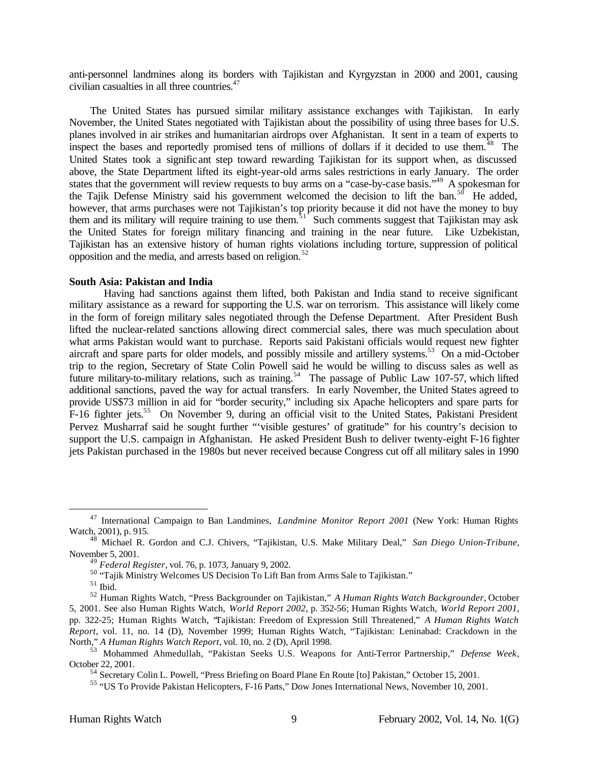anti-personnel landmines along its borders with Tajikistan and Kyrgyzstan in 2000 and 2001, causing civilian casualties in all three countries.<sup>47</sup>

The United States has pursued similar military assistance exchanges with Tajikistan. In early November, the United States negotiated with Tajikistan about the possibility of using three bases for U.S. planes involved in air strikes and humanitarian airdrops over Afghanistan. It sent in a team of experts to inspect the bases and reportedly promised tens of millions of dollars if it decided to use them.<sup>48</sup> The United States took a significant step toward rewarding Tajikistan for its support when, as discussed above, the State Department lifted its eight-year-old arms sales restrictions in early January. The order states that the government will review requests to buy arms on a "case-by-case basis."<sup>49</sup> A spokesman for the Tajik Defense Ministry said his government welcomed the decision to lift the ban.<sup>50</sup> He added, however, that arms purchases were not Tajikistan's top priority because it did not have the money to buy them and its military will require training to use them.<sup>51</sup> Such comments suggest that Tajikistan may ask the United States for foreign military financing and training in the near future. Like Uzbekistan, Tajikistan has an extensive history of human rights violations including torture, suppression of political opposition and the media, and arrests based on religion.<sup>52</sup>

#### **South Asia: Pakistan and India**

Having had sanctions against them lifted, both Pakistan and India stand to receive significant military assistance as a reward for supporting the U.S. war on terrorism. This assistance will likely come in the form of foreign military sales negotiated through the Defense Department. After President Bush lifted the nuclear-related sanctions allowing direct commercial sales, there was much speculation about what arms Pakistan would want to purchase. Reports said Pakistani officials would request new fighter aircraft and spare parts for older models, and possibly missile and artillery systems.<sup>53</sup> On a mid-October trip to the region, Secretary of State Colin Powell said he would be willing to discuss sales as well as future military-to-military relations, such as training.<sup>54</sup> The passage of Public Law 107-57, which lifted additional sanctions, paved the way for actual transfers. In early November, the United States agreed to provide US\$73 million in aid for "border security," including six Apache helicopters and spare parts for F-16 fighter jets.<sup>55</sup> On November 9, during an official visit to the United States, Pakistani President Pervez Musharraf said he sought further "'visible gestures' of gratitude" for his country's decision to support the U.S. campaign in Afghanistan. He asked President Bush to deliver twenty-eight F-16 fighter jets Pakistan purchased in the 1980s but never received because Congress cut off all military sales in 1990

<sup>47</sup> International Campaign to Ban Landmines, *Landmine Monitor Report 2001* (New York: Human Rights Watch, 2001), p. 915.

<sup>48</sup> Michael R. Gordon and C.J. Chivers, "Tajikistan, U.S. Make Military Deal," *San Diego Union-Tribune*, November 5, 2001.

<sup>49</sup> *Federal Register*, vol. 76, p. 1073, January 9, 2002.

<sup>&</sup>lt;sup>50</sup> "Tajik Ministry Welcomes US Decision To Lift Ban from Arms Sale to Tajikistan."

 $^{\rm 51}$  Ibid.

<sup>52</sup> Human Rights Watch, "Press Backgrounder on Tajikistan," *A Human Rights Watch Backgrounder*, October 5, 2001. See also Human Rights Watch, *World Report 2002*, p. 352-56; Human Rights Watch, *World Report 2001*, pp. 322-25; Human Rights Watch, "Tajikistan: Freedom of Expression Still Threatened," *A Human Rights Watch Report*, vol. 11, no. 14 (D), November 1999; Human Rights Watch, "Tajikistan: Leninabad: Crackdown in the North," *A Human Rights Watch Report*, vol. 10, no. 2 (D), April 1998.

<sup>53</sup> Mohammed Ahmedullah, "Pakistan Seeks U.S. Weapons for Anti-Terror Partnership," *Defense Week*, October 22, 2001.

<sup>54</sup> Secretary Colin L. Powell, "Press Briefing on Board Plane En Route [to] Pakistan," October 15, 2001.

<sup>55</sup> "US To Provide Pakistan Helicopters, F-16 Parts," Dow Jones International News, November 10, 2001.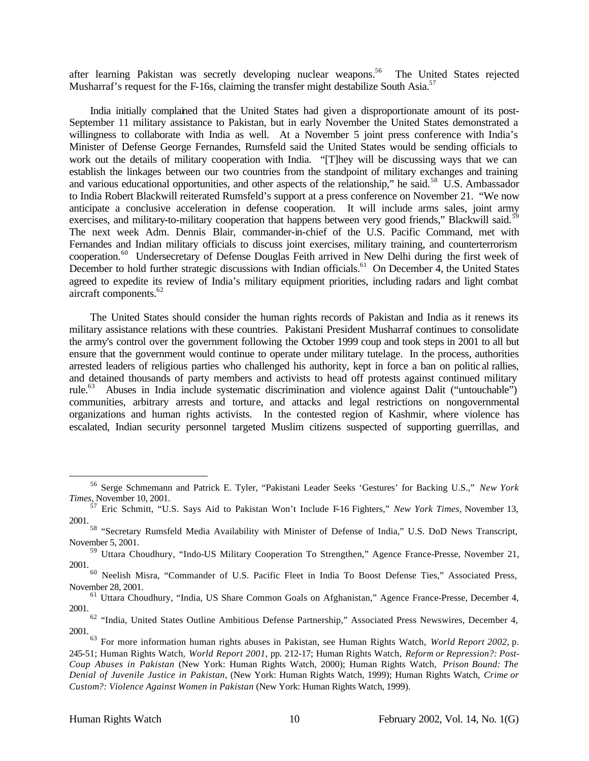after learning Pakistan was secretly developing nuclear weapons.<sup>56</sup> The United States rejected Musharraf's request for the F-16s, claiming the transfer might destabilize South Asia.<sup>57</sup>

India initially complained that the United States had given a disproportionate amount of its post-September 11 military assistance to Pakistan, but in early November the United States demonstrated a willingness to collaborate with India as well. At a November 5 joint press conference with India's Minister of Defense George Fernandes, Rumsfeld said the United States would be sending officials to work out the details of military cooperation with India. "[T]hey will be discussing ways that we can establish the linkages between our two countries from the standpoint of military exchanges and training and various educational opportunities, and other aspects of the relationship," he said.<sup>58</sup> U.S. Ambassador to India Robert Blackwill reiterated Rumsfeld's support at a press conference on November 21. "We now anticipate a conclusive acceleration in defense cooperation. It will include arms sales, joint army exercises, and military-to-military cooperation that happens between very good friends," Blackwill said.<sup>59</sup> The next week Adm. Dennis Blair, commander-in-chief of the U.S. Pacific Command, met with Fernandes and Indian military officials to discuss joint exercises, military training, and counterterrorism cooperation.<sup>60</sup> Undersecretary of Defense Douglas Feith arrived in New Delhi during the first week of December to hold further strategic discussions with Indian officials.<sup>61</sup> On December 4, the United States agreed to expedite its review of India's military equipment priorities, including radars and light combat aircraft components.<sup>62</sup>

The United States should consider the human rights records of Pakistan and India as it renews its military assistance relations with these countries. Pakistani President Musharraf continues to consolidate the army's control over the government following the October 1999 coup and took steps in 2001 to all but ensure that the government would continue to operate under military tutelage. In the process, authorities arrested leaders of religious parties who challenged his authority, kept in force a ban on politic al rallies, and detained thousands of party members and activists to head off protests against continued military rule.<sup>63</sup> Abuses in India include systematic discrimination and violence against Dalit ("untouchable") communities, arbitrary arrests and torture, and attacks and legal restrictions on nongovernmental organizations and human rights activists. In the contested region of Kashmir, where violence has escalated, Indian security personnel targeted Muslim citizens suspected of supporting guerrillas, and

<sup>56</sup> Serge Schmemann and Patrick E. Tyler, "Pakistani Leader Seeks 'Gestures' for Backing U.S.," *New York Times*, November 10, 2001.

<sup>57</sup> Eric Schmitt, "U.S. Says Aid to Pakistan Won't Include F-16 Fighters," *New York Times*, November 13, 2001.

<sup>&</sup>lt;sup>58</sup> "Secretary Rumsfeld Media Availability with Minister of Defense of India," U.S. DoD News Transcript, November 5, 2001.

<sup>59</sup> Uttara Choudhury, "Indo-US Military Cooperation To Strengthen," Agence France-Presse, November 21, 2001.

<sup>&</sup>lt;sup>60</sup> Neelish Misra, "Commander of U.S. Pacific Fleet in India To Boost Defense Ties," Associated Press, November 28, 2001.

<sup>&</sup>lt;sup>61</sup> Uttara Choudhury, "India, US Share Common Goals on Afghanistan," Agence France-Presse, December 4, 2001.

<sup>&</sup>lt;sup>62</sup> "India, United States Outline Ambitious Defense Partnership," Associated Press Newswires, December 4, 2001.

<sup>63</sup> For more information human rights abuses in Pakistan, see Human Rights Watch, *World Report 2002*, p. 245-51; Human Rights Watch, *World Report 2001*, pp. 212-17; Human Rights Watch, *Reform or Repression?: Post-Coup Abuses in Pakistan* (New York: Human Rights Watch, 2000); Human Rights Watch, *Prison Bound: The Denial of Juvenile Justice in Pakistan*, (New York: Human Rights Watch, 1999); Human Rights Watch, *Crime or Custom?: Violence Against Women in Pakistan* (New York: Human Rights Watch, 1999).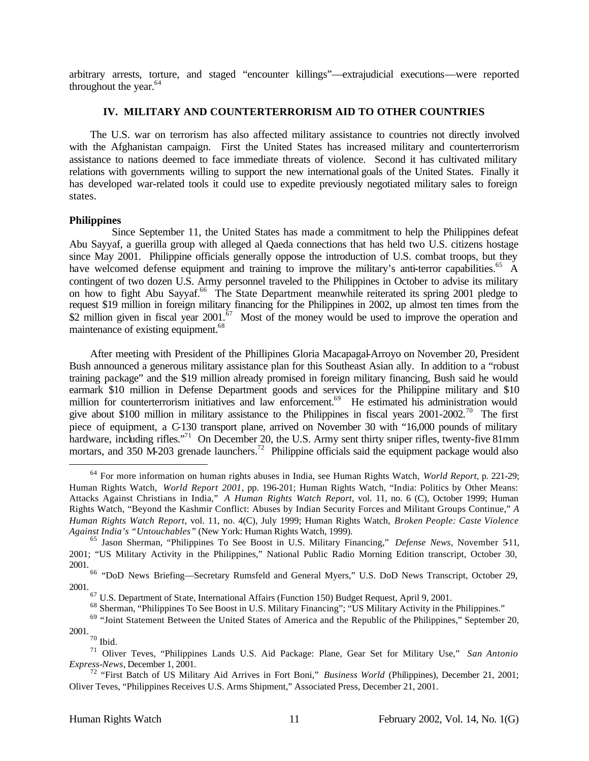arbitrary arrests, torture, and staged "encounter killings"—extrajudicial executions—were reported throughout the year. $64$ 

#### **IV. MILITARY AND COUNTERTERRORISM AID TO OTHER COUNTRIES**

The U.S. war on terrorism has also affected military assistance to countries not directly involved with the Afghanistan campaign. First the United States has increased military and counterterrorism assistance to nations deemed to face immediate threats of violence. Second it has cultivated military relations with governments willing to support the new international goals of the United States. Finally it has developed war-related tools it could use to expedite previously negotiated military sales to foreign states.

#### **Philippines**

 Since September 11, the United States has made a commitment to help the Philippines defeat Abu Sayyaf, a guerilla group with alleged al Qaeda connections that has held two U.S. citizens hostage since May 2001. Philippine officials generally oppose the introduction of U.S. combat troops, but they have welcomed defense equipment and training to improve the military's anti-terror capabilities.<sup>65</sup> A contingent of two dozen U.S. Army personnel traveled to the Philippines in October to advise its military on how to fight Abu Sayyaf.<sup>66</sup> The State Department meanwhile reiterated its spring 2001 pledge to request \$19 million in foreign military financing for the Philippines in 2002, up almost ten times from the \$2 million given in fiscal year  $2001$ .<sup>67</sup> Most of the money would be used to improve the operation and maintenance of existing equipment.<sup>68</sup>

After meeting with President of the Phillipines Gloria Macapagal-Arroyo on November 20, President Bush announced a generous military assistance plan for this Southeast Asian ally. In addition to a "robust training package" and the \$19 million already promised in foreign military financing, Bush said he would earmark \$10 million in Defense Department goods and services for the Philippine military and \$10 million for counterterrorism initiatives and law enforcement.<sup>69</sup> He estimated his administration would give about \$100 million in military assistance to the Philippines in fiscal years  $2001-2002$ <sup>70</sup>. The first piece of equipment, a C-130 transport plane, arrived on November 30 with "16,000 pounds of military hardware, including rifles."<sup>71</sup> On December 20, the U.S. Army sent thirty sniper rifles, twenty-five 81mm mortars, and 350 M-203 grenade launchers.<sup>72</sup> Philippine officials said the equipment package would also

<sup>64</sup> For more information on human rights abuses in India, see Human Rights Watch, *World Report*, p. 221-29; Human Rights Watch, *World Report 2001*, pp. 196-201; Human Rights Watch, "India: Politics by Other Means: Attacks Against Christians in India," *A Human Rights Watch Report*, vol. 11, no. 6 (C), October 1999; Human Rights Watch, "Beyond the Kashmir Conflict: Abuses by Indian Security Forces and Militant Groups Continue," *A Human Rights Watch Report*, vol. 11, no. 4(C), July 1999; Human Rights Watch, *Broken People: Caste Violence Against India's "Untouchables"* (New York: Human Rights Watch, 1999).

<sup>65</sup> Jason Sherman, "Philippines To See Boost in U.S. Military Financing," *Defense News*, November 5-11, 2001; "US Military Activity in the Philippines," National Public Radio Morning Edition transcript, October 30, 2001.

<sup>&</sup>lt;sup>66</sup> "DoD News Briefing—Secretary Rumsfeld and General Myers," U.S. DoD News Transcript, October 29, 2001.

 $^{67}$  U.S. Department of State, International Affairs (Function 150) Budget Request, April 9, 2001.

<sup>&</sup>lt;sup>68</sup> Sherman, "Philippines To See Boost in U.S. Military Financing"; "US Military Activity in the Philippines."

<sup>&</sup>lt;sup>69</sup> "Joint Statement Between the United States of America and the Republic of the Philippines," September 20, 2001.

 $70$  Ibid.

<sup>71</sup> Oliver Teves, "Philippines Lands U.S. Aid Package: Plane, Gear Set for Military Use," *San Antonio Express-News*, December 1, 2001.

<sup>72</sup> "First Batch of US Military Aid Arrives in Fort Boni," *Business World* (Philippines), December 21, 2001; Oliver Teves, "Philippines Receives U.S. Arms Shipment," Associated Press, December 21, 2001.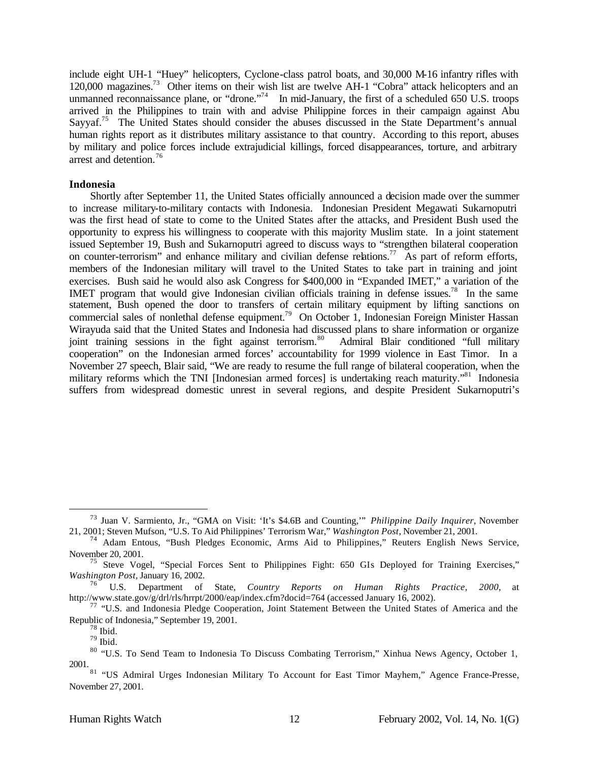include eight UH-1 "Huey" helicopters, Cyclone-class patrol boats, and 30,000 M-16 infantry rifles with 120,000 magazines.<sup>73</sup> Other items on their wish list are twelve AH-1 "Cobra" attack helicopters and an unmanned reconnaissance plane, or "drone."<sup>74</sup> In mid-January, the first of a scheduled 650 U.S. troops arrived in the Philippines to train with and advise Philippine forces in their campaign against Abu Sayyaf.<sup>75</sup> The United States should consider the abuses discussed in the State Department's annual human rights report as it distributes military assistance to that country. According to this report, abuses by military and police forces include extrajudicial killings, forced disappearances, torture, and arbitrary arrest and detention.<sup>76</sup>

#### **Indonesia**

Shortly after September 11, the United States officially announced a decision made over the summer to increase military-to-military contacts with Indonesia. Indonesian President Megawati Sukarnoputri was the first head of state to come to the United States after the attacks, and President Bush used the opportunity to express his willingness to cooperate with this majority Muslim state. In a joint statement issued September 19, Bush and Sukarnoputri agreed to discuss ways to "strengthen bilateral cooperation on counter-terrorism" and enhance military and civilian defense relations.<sup>77</sup> As part of reform efforts, members of the Indonesian military will travel to the United States to take part in training and joint exercises. Bush said he would also ask Congress for \$400,000 in "Expanded IMET," a variation of the IMET program that would give Indonesian civilian officials training in defense issues.<sup>78</sup> In the same statement, Bush opened the door to transfers of certain military equipment by lifting sanctions on commercial sales of nonlethal defense equipment.<sup>79</sup> On October 1, Indonesian Foreign Minister Hassan Wirayuda said that the United States and Indonesia had discussed plans to share information or organize joint training sessions in the fight against terrorism.<sup>80</sup> Admiral Blair conditioned "full military" cooperation" on the Indonesian armed forces' accountability for 1999 violence in East Timor. In a November 27 speech, Blair said, "We are ready to resume the full range of bilateral cooperation, when the military reforms which the TNI [Indonesian armed forces] is undertaking reach maturity."<sup>81</sup> Indonesia suffers from widespread domestic unrest in several regions, and despite President Sukarnoputri's

<sup>73</sup> Juan V. Sarmiento, Jr., "GMA on Visit: 'It's \$4.6B and Counting,'" *Philippine Daily Inquirer*, November 21, 2001; Steven Mufson, "U.S. To Aid Philippines' Terrorism War," *Washington Post*, November 21, 2001.

<sup>74</sup> Adam Entous, "Bush Pledges Economic, Arms Aid to Philippines," Reuters English News Service, November 20, 2001.

<sup>&</sup>lt;sup>75</sup> Steve Vogel, "Special Forces Sent to Philippines Fight: 650 GIs Deployed for Training Exercises," *Washington Post*, January 16, 2002.

<sup>76</sup> U.S. Department of State, *Country Reports on Human Rights Practice, 2000,* at http://www.state.gov/g/drl/rls/hrrpt/2000/eap/index.cfm?docid=764 (accessed January 16, 2002).

<sup>&</sup>lt;sup>77</sup> "U.S. and Indonesia Pledge Cooperation, Joint Statement Between the United States of America and the Republic of Indonesia," September 19, 2001.

 $78$  Ibid.

<sup>79</sup> Ibid.

<sup>&</sup>lt;sup>80</sup> "U.S. To Send Team to Indonesia To Discuss Combating Terrorism," Xinhua News Agency, October 1, 2001.

<sup>&</sup>lt;sup>81</sup> "US Admiral Urges Indonesian Military To Account for East Timor Mayhem," Agence France-Presse, November 27, 2001.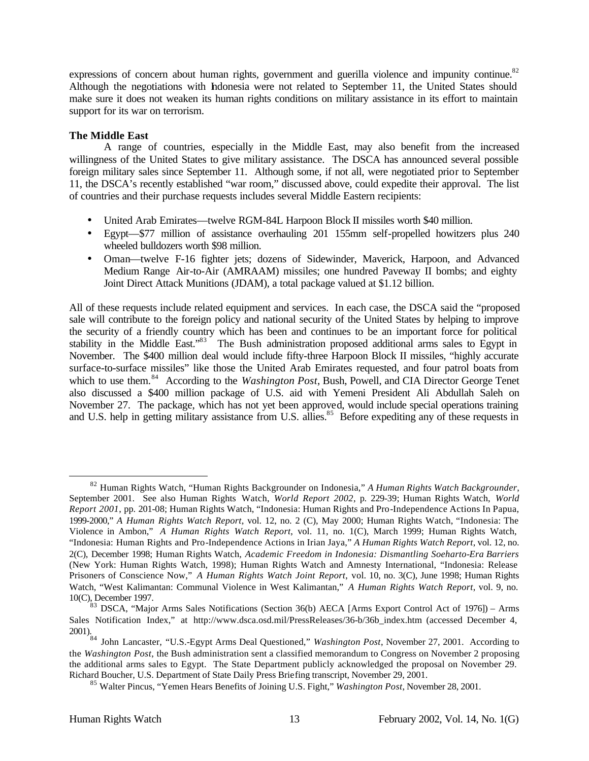expressions of concern about human rights, government and guerilla violence and impunity continue.<sup>82</sup> Although the negotiations with Indonesia were not related to September 11, the United States should make sure it does not weaken its human rights conditions on military assistance in its effort to maintain support for its war on terrorism.

# **The Middle East**

A range of countries, especially in the Middle East, may also benefit from the increased willingness of the United States to give military assistance. The DSCA has announced several possible foreign military sales since September 11. Although some, if not all, were negotiated prior to September 11, the DSCA's recently established "war room," discussed above, could expedite their approval. The list of countries and their purchase requests includes several Middle Eastern recipients:

- United Arab Emirates—twelve RGM-84L Harpoon Block II missiles worth \$40 million.
- Egypt—\$77 million of assistance overhauling 201 155mm self-propelled howitzers plus 240 wheeled bulldozers worth \$98 million.
- Oman—twelve F-16 fighter jets; dozens of Sidewinder, Maverick, Harpoon, and Advanced Medium Range Air-to-Air (AMRAAM) missiles; one hundred Paveway II bombs; and eighty Joint Direct Attack Munitions (JDAM), a total package valued at \$1.12 billion.

All of these requests include related equipment and services. In each case, the DSCA said the "proposed sale will contribute to the foreign policy and national security of the United States by helping to improve the security of a friendly country which has been and continues to be an important force for political stability in the Middle East."<sup>83</sup> The Bush administration proposed additional arms sales to Egypt in November. The \$400 million deal would include fifty-three Harpoon Block II missiles, "highly accurate surface-to-surface missiles" like those the United Arab Emirates requested, and four patrol boats from which to use them.<sup>84</sup> According to the *Washington Post*, Bush, Powell, and CIA Director George Tenet also discussed a \$400 million package of U.S. aid with Yemeni President Ali Abdullah Saleh on November 27. The package, which has not yet been approved, would include special operations training and U.S. help in getting military assistance from U.S. allies.<sup>85</sup> Before expediting any of these requests in

<sup>82</sup> Human Rights Watch, "Human Rights Backgrounder on Indonesia," *A Human Rights Watch Backgrounder*, September 2001. See also Human Rights Watch, *World Report 2002*, p. 229-39; Human Rights Watch, *World Report 2001*, pp. 201-08; Human Rights Watch, "Indonesia: Human Rights and Pro-Independence Actions In Papua, 1999-2000," *A Human Rights Watch Report*, vol. 12, no. 2 (C), May 2000; Human Rights Watch, "Indonesia: The Violence in Ambon," *A Human Rights Watch Report*, vol. 11, no. 1(C), March 1999; Human Rights Watch, "Indonesia: Human Rights and Pro-Independence Actions in Irian Jaya," *A Human Rights Watch Report*, vol. 12, no. 2(C), December 1998; Human Rights Watch, *Academic Freedom in Indonesia: Dismantling Soeharto-Era Barriers*  (New York: Human Rights Watch, 1998); Human Rights Watch and Amnesty International, "Indonesia: Release Prisoners of Conscience Now," *A Human Rights Watch Joint Report*, vol. 10, no. 3(C), June 1998; Human Rights Watch, "West Kalimantan: Communal Violence in West Kalimantan," *A Human Rights Watch Report*, vol. 9, no. 10(C), December 1997.

 $83$  DSCA, "Major Arms Sales Notifications (Section 36(b) AECA [Arms Export Control Act of 1976]) – Arms Sales Notification Index," at http://www.dsca.osd.mil/PressReleases/36-b/36b\_index.htm (accessed December 4, 2001).

<sup>84</sup> John Lancaster, "U.S.-Egypt Arms Deal Questioned," *Washington Post*, November 27, 2001. According to the *Washington Post*, the Bush administration sent a classified memorandum to Congress on November 2 proposing the additional arms sales to Egypt. The State Department publicly acknowledged the proposal on November 29. Richard Boucher, U.S. Department of State Daily Press Briefing transcript, November 29, 2001.

<sup>85</sup> Walter Pincus, "Yemen Hears Benefits of Joining U.S. Fight," *Washington Post*, November 28, 2001.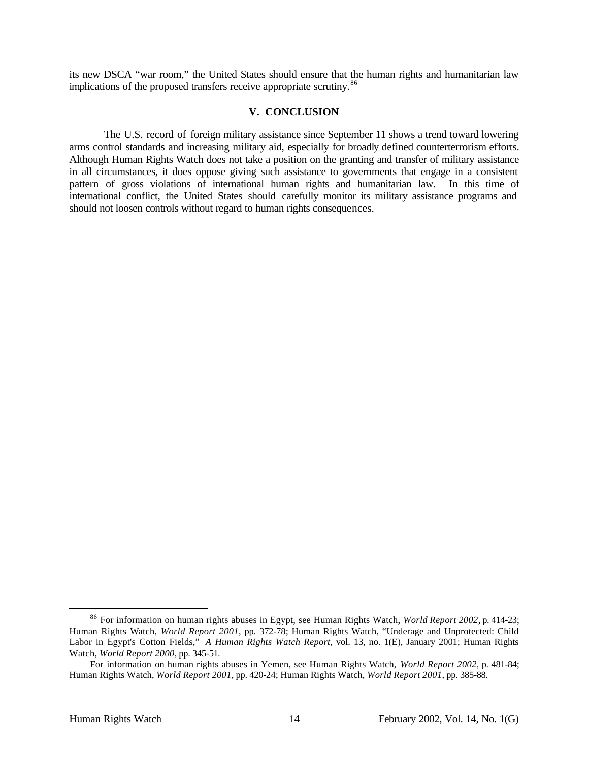its new DSCA "war room," the United States should ensure that the human rights and humanitarian law implications of the proposed transfers receive appropriate scrutiny.<sup>86</sup>

## **V. CONCLUSION**

The U.S. record of foreign military assistance since September 11 shows a trend toward lowering arms control standards and increasing military aid, especially for broadly defined counterterrorism efforts. Although Human Rights Watch does not take a position on the granting and transfer of military assistance in all circumstances, it does oppose giving such assistance to governments that engage in a consistent pattern of gross violations of international human rights and humanitarian law. In this time of international conflict, the United States should carefully monitor its military assistance programs and should not loosen controls without regard to human rights consequences.

<sup>86</sup> For information on human rights abuses in Egypt, see Human Rights Watch, *World Report 2002*, p. 414-23; Human Rights Watch, *World Report 2001*, pp. 372-78; Human Rights Watch, "Underage and Unprotected: Child Labor in Egypt's Cotton Fields," *A Human Rights Watch Report*, vol. 13, no. 1(E), January 2001; Human Rights Watch, *World Report 2000*, pp. 345-51.

For information on human rights abuses in Yemen, see Human Rights Watch, *World Report 2002*, p. 481-84; Human Rights Watch, *World Report 2001*, pp. 420-24; Human Rights Watch, *World Report 2001*, pp. 385-88.